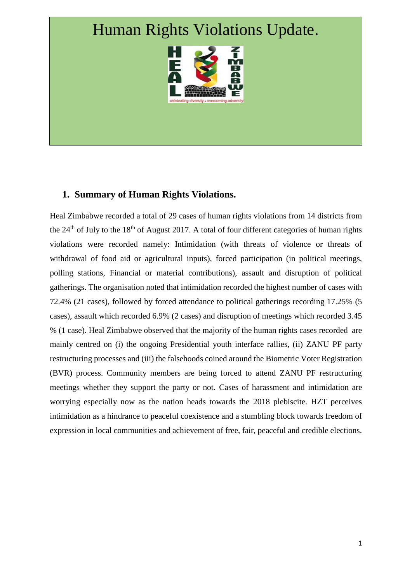# Human Rights Violations Update.



# **1. Summary of Human Rights Violations.**

Heal Zimbabwe recorded a total of 29 cases of human rights violations from 14 districts from the  $24<sup>th</sup>$  of July to the 18<sup>th</sup> of August 2017. A total of four different categories of human rights violations were recorded namely: Intimidation (with threats of violence or threats of withdrawal of food aid or agricultural inputs), forced participation (in political meetings, polling stations, Financial or material contributions), assault and disruption of political gatherings. The organisation noted that intimidation recorded the highest number of cases with 72.4% (21 cases), followed by forced attendance to political gatherings recording 17.25% (5 cases), assault which recorded 6.9% (2 cases) and disruption of meetings which recorded 3.45 % (1 case). Heal Zimbabwe observed that the majority of the human rights cases recorded are mainly centred on (i) the ongoing Presidential youth interface rallies, (ii) ZANU PF party restructuring processes and (iii) the falsehoods coined around the Biometric Voter Registration (BVR) process. Community members are being forced to attend ZANU PF restructuring meetings whether they support the party or not. Cases of harassment and intimidation are worrying especially now as the nation heads towards the 2018 plebiscite. HZT perceives intimidation as a hindrance to peaceful coexistence and a stumbling block towards freedom of expression in local communities and achievement of free, fair, peaceful and credible elections.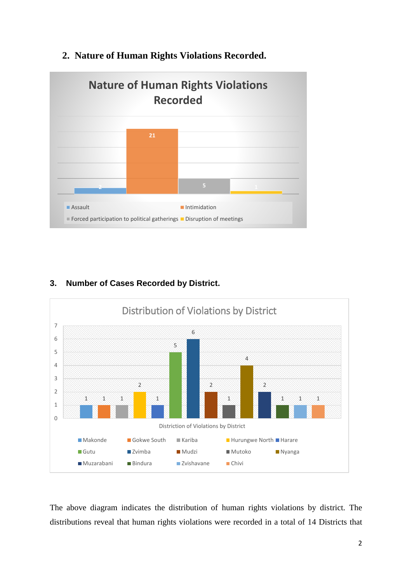

# **2. Nature of Human Rights Violations Recorded.**

# **3. Number of Cases Recorded by District.**



The above diagram indicates the distribution of human rights violations by district. The distributions reveal that human rights violations were recorded in a total of 14 Districts that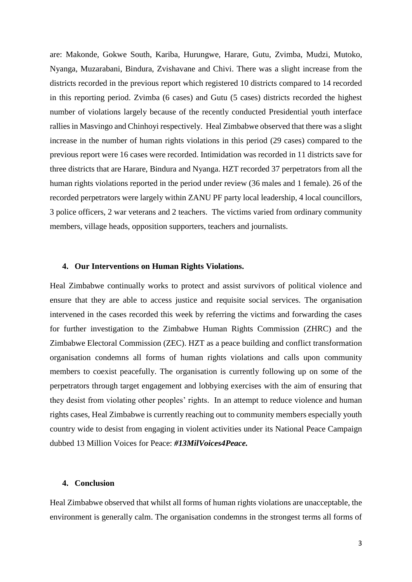are: Makonde, Gokwe South, Kariba, Hurungwe, Harare, Gutu, Zvimba, Mudzi, Mutoko, Nyanga, Muzarabani, Bindura, Zvishavane and Chivi. There was a slight increase from the districts recorded in the previous report which registered 10 districts compared to 14 recorded in this reporting period. Zvimba (6 cases) and Gutu (5 cases) districts recorded the highest number of violations largely because of the recently conducted Presidential youth interface rallies in Masvingo and Chinhoyi respectively. Heal Zimbabwe observed that there was a slight increase in the number of human rights violations in this period (29 cases) compared to the previous report were 16 cases were recorded. Intimidation was recorded in 11 districts save for three districts that are Harare, Bindura and Nyanga. HZT recorded 37 perpetrators from all the human rights violations reported in the period under review (36 males and 1 female). 26 of the recorded perpetrators were largely within ZANU PF party local leadership, 4 local councillors, 3 police officers, 2 war veterans and 2 teachers. The victims varied from ordinary community members, village heads, opposition supporters, teachers and journalists.

#### **4. Our Interventions on Human Rights Violations.**

Heal Zimbabwe continually works to protect and assist survivors of political violence and ensure that they are able to access justice and requisite social services. The organisation intervened in the cases recorded this week by referring the victims and forwarding the cases for further investigation to the Zimbabwe Human Rights Commission (ZHRC) and the Zimbabwe Electoral Commission (ZEC). HZT as a peace building and conflict transformation organisation condemns all forms of human rights violations and calls upon community members to coexist peacefully. The organisation is currently following up on some of the perpetrators through target engagement and lobbying exercises with the aim of ensuring that they desist from violating other peoples' rights. In an attempt to reduce violence and human rights cases, Heal Zimbabwe is currently reaching out to community members especially youth country wide to desist from engaging in violent activities under its National Peace Campaign dubbed 13 Million Voices for Peace: *#13MilVoices4Peace.*

#### **4. Conclusion**

Heal Zimbabwe observed that whilst all forms of human rights violations are unacceptable, the environment is generally calm. The organisation condemns in the strongest terms all forms of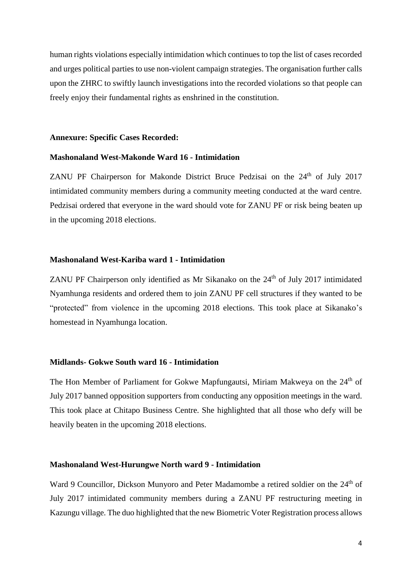human rights violations especially intimidation which continues to top the list of cases recorded and urges political parties to use non-violent campaign strategies. The organisation further calls upon the ZHRC to swiftly launch investigations into the recorded violations so that people can freely enjoy their fundamental rights as enshrined in the constitution.

#### **Annexure: Specific Cases Recorded:**

#### **Mashonaland West-Makonde Ward 16 - Intimidation**

ZANU PF Chairperson for Makonde District Bruce Pedzisai on the  $24<sup>th</sup>$  of July 2017 intimidated community members during a community meeting conducted at the ward centre. Pedzisai ordered that everyone in the ward should vote for ZANU PF or risk being beaten up in the upcoming 2018 elections.

#### **Mashonaland West-Kariba ward 1 - Intimidation**

ZANU PF Chairperson only identified as Mr Sikanako on the  $24<sup>th</sup>$  of July 2017 intimidated Nyamhunga residents and ordered them to join ZANU PF cell structures if they wanted to be "protected" from violence in the upcoming 2018 elections. This took place at Sikanako's homestead in Nyamhunga location.

## **Midlands- Gokwe South ward 16 - Intimidation**

The Hon Member of Parliament for Gokwe Mapfungautsi, Miriam Makweya on the 24<sup>th</sup> of July 2017 banned opposition supporters from conducting any opposition meetings in the ward. This took place at Chitapo Business Centre. She highlighted that all those who defy will be heavily beaten in the upcoming 2018 elections.

## **Mashonaland West-Hurungwe North ward 9 - Intimidation**

Ward 9 Councillor, Dickson Munyoro and Peter Madamombe a retired soldier on the 24<sup>th</sup> of July 2017 intimidated community members during a ZANU PF restructuring meeting in Kazungu village. The duo highlighted that the new Biometric Voter Registration process allows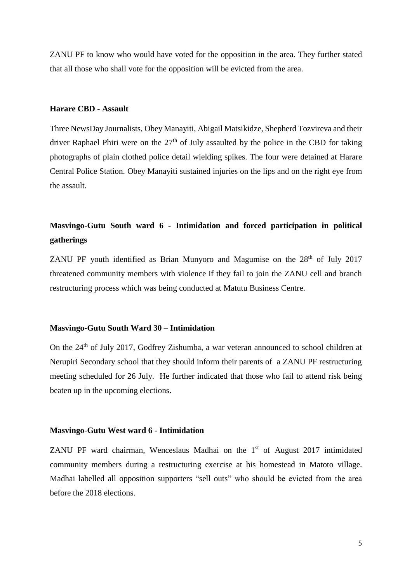ZANU PF to know who would have voted for the opposition in the area. They further stated that all those who shall vote for the opposition will be evicted from the area.

#### **Harare CBD - Assault**

Three NewsDay Journalists, Obey Manayiti, Abigail Matsikidze, Shepherd Tozvireva and their driver Raphael Phiri were on the  $27<sup>th</sup>$  of July assaulted by the police in the CBD for taking photographs of plain clothed police detail wielding spikes. The four were detained at Harare Central Police Station. Obey Manayiti sustained injuries on the lips and on the right eye from the assault.

# **Masvingo-Gutu South ward 6 - Intimidation and forced participation in political gatherings**

ZANU PF youth identified as Brian Munyoro and Magumise on the  $28<sup>th</sup>$  of July 2017 threatened community members with violence if they fail to join the ZANU cell and branch restructuring process which was being conducted at Matutu Business Centre.

#### **Masvingo-Gutu South Ward 30 – Intimidation**

On the 24th of July 2017, Godfrey Zishumba, a war veteran announced to school children at Nerupiri Secondary school that they should inform their parents of a ZANU PF restructuring meeting scheduled for 26 July. He further indicated that those who fail to attend risk being beaten up in the upcoming elections.

#### **Masvingo-Gutu West ward 6 - Intimidation**

ZANU PF ward chairman, Wenceslaus Madhai on the 1<sup>st</sup> of August 2017 intimidated community members during a restructuring exercise at his homestead in Matoto village. Madhai labelled all opposition supporters "sell outs" who should be evicted from the area before the 2018 elections.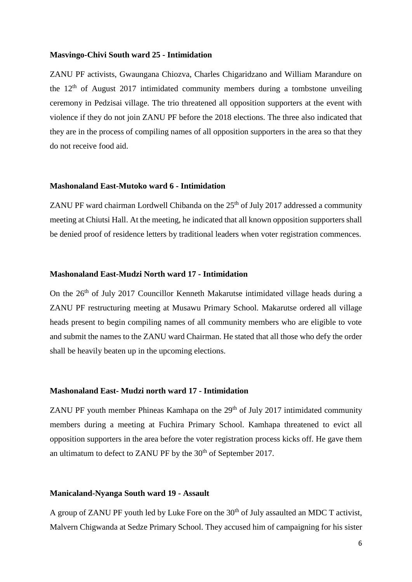#### **Masvingo-Chivi South ward 25 - Intimidation**

ZANU PF activists, Gwaungana Chiozva, Charles Chigaridzano and William Marandure on the  $12<sup>th</sup>$  of August 2017 intimidated community members during a tombstone unveiling ceremony in Pedzisai village. The trio threatened all opposition supporters at the event with violence if they do not join ZANU PF before the 2018 elections. The three also indicated that they are in the process of compiling names of all opposition supporters in the area so that they do not receive food aid.

#### **Mashonaland East-Mutoko ward 6 - Intimidation**

ZANU PF ward chairman Lordwell Chibanda on the  $25<sup>th</sup>$  of July 2017 addressed a community meeting at Chiutsi Hall. At the meeting, he indicated that all known opposition supporters shall be denied proof of residence letters by traditional leaders when voter registration commences.

#### **Mashonaland East-Mudzi North ward 17 - Intimidation**

On the 26th of July 2017 Councillor Kenneth Makarutse intimidated village heads during a ZANU PF restructuring meeting at Musawu Primary School. Makarutse ordered all village heads present to begin compiling names of all community members who are eligible to vote and submit the names to the ZANU ward Chairman. He stated that all those who defy the order shall be heavily beaten up in the upcoming elections.

## **Mashonaland East- Mudzi north ward 17 - Intimidation**

ZANU PF youth member Phineas Kamhapa on the  $29<sup>th</sup>$  of July 2017 intimidated community members during a meeting at Fuchira Primary School. Kamhapa threatened to evict all opposition supporters in the area before the voter registration process kicks off. He gave them an ultimatum to defect to ZANU PF by the  $30<sup>th</sup>$  of September 2017.

#### **Manicaland-Nyanga South ward 19 - Assault**

A group of ZANU PF youth led by Luke Fore on the  $30<sup>th</sup>$  of July assaulted an MDC T activist, Malvern Chigwanda at Sedze Primary School. They accused him of campaigning for his sister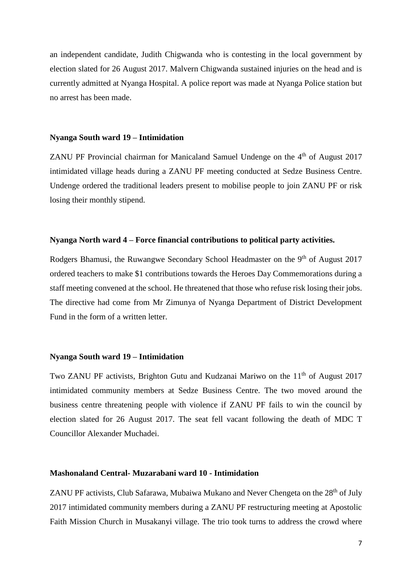an independent candidate, Judith Chigwanda who is contesting in the local government by election slated for 26 August 2017. Malvern Chigwanda sustained injuries on the head and is currently admitted at Nyanga Hospital. A police report was made at Nyanga Police station but no arrest has been made.

#### **Nyanga South ward 19 – Intimidation**

ZANU PF Provincial chairman for Manicaland Samuel Undenge on the  $4<sup>th</sup>$  of August 2017 intimidated village heads during a ZANU PF meeting conducted at Sedze Business Centre. Undenge ordered the traditional leaders present to mobilise people to join ZANU PF or risk losing their monthly stipend.

# **Nyanga North ward 4 – Force financial contributions to political party activities.**

Rodgers Bhamusi, the Ruwangwe Secondary School Headmaster on the 9<sup>th</sup> of August 2017 ordered teachers to make \$1 contributions towards the Heroes Day Commemorations during a staff meeting convened at the school. He threatened that those who refuse risk losing their jobs. The directive had come from Mr Zimunya of Nyanga Department of District Development Fund in the form of a written letter.

#### **Nyanga South ward 19 – Intimidation**

Two ZANU PF activists, Brighton Gutu and Kudzanai Mariwo on the 11<sup>th</sup> of August 2017 intimidated community members at Sedze Business Centre. The two moved around the business centre threatening people with violence if ZANU PF fails to win the council by election slated for 26 August 2017. The seat fell vacant following the death of MDC T Councillor Alexander Muchadei.

#### **Mashonaland Central- Muzarabani ward 10 - Intimidation**

ZANU PF activists, Club Safarawa, Mubaiwa Mukano and Never Chengeta on the  $28<sup>th</sup>$  of July 2017 intimidated community members during a ZANU PF restructuring meeting at Apostolic Faith Mission Church in Musakanyi village. The trio took turns to address the crowd where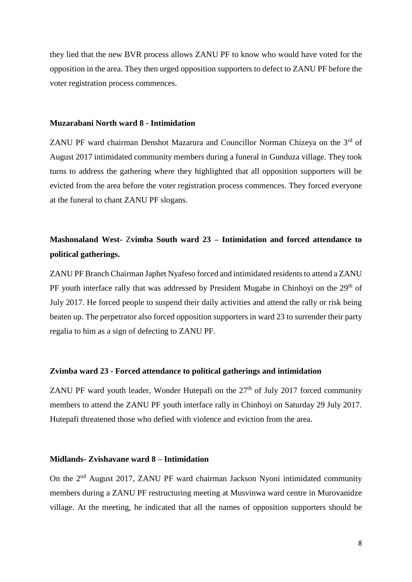they lied that the new BVR process allows ZANU PF to know who would have voted for the opposition in the area. They then urged opposition supporters to defect to ZANU PF before the voter registration process commences.

#### **Muzarabani North ward 8 - Intimidation**

ZANU PF ward chairman Denshot Mazarura and Councillor Norman Chizeya on the  $3<sup>rd</sup>$  of August 2017 intimidated community members during a funeral in Gunduza village. They took turns to address the gathering where they highlighted that all opposition supporters will be evicted from the area before the voter registration process commences. They forced everyone at the funeral to chant ZANU PF slogans.

# **Mashonaland West-** Z**vimba South ward 23 – Intimidation and forced attendance to political gatherings.**

ZANU PF Branch Chairman Japhet Nyafeso forced and intimidated residents to attend a ZANU PF youth interface rally that was addressed by President Mugabe in Chinhoyi on the  $29<sup>th</sup>$  of July 2017. He forced people to suspend their daily activities and attend the rally or risk being beaten up. The perpetrator also forced opposition supporters in ward 23 to surrender their party regalia to him as a sign of defecting to ZANU PF.

#### **Zvimba ward 23 - Forced attendance to political gatherings and intimidation**

ZANU PF ward youth leader, Wonder Hutepafi on the  $27<sup>th</sup>$  of July 2017 forced community members to attend the ZANU PF youth interface rally in Chinhoyi on Saturday 29 July 2017. Hutepafi threatened those who defied with violence and eviction from the area.

# **Midlands- Zvishavane ward 8 – Intimidation**

On the 2nd August 2017, ZANU PF ward chairman Jackson Nyoni intimidated community members during a ZANU PF restructuring meeting at Musvinwa ward centre in Murovanidze village. At the meeting, he indicated that all the names of opposition supporters should be